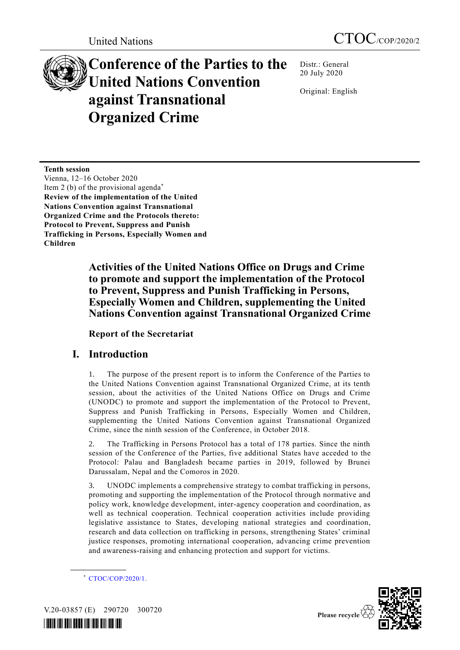# **Conference of the Parties to the United Nations Convention against Transnational Organized Crime**

Distr.: General 20 July 2020

Original: English

**Tenth session** Vienna, 12–16 October 2020 Item 2 (b) of the provisional agenda\* **Review of the implementation of the United Nations Convention against Transnational Organized Crime and the Protocols thereto: Protocol to Prevent, Suppress and Punish Trafficking in Persons, Especially Women and Children**

> **Activities of the United Nations Office on Drugs and Crime to promote and support the implementation of the Protocol to Prevent, Suppress and Punish Trafficking in Persons, Especially Women and Children, supplementing the United Nations Convention against Transnational Organized Crime**

**Report of the Secretariat**

# **I. Introduction**

1. The purpose of the present report is to inform the Conference of the Parties to the United Nations Convention against Transnational Organized Crime, at its tenth session, about the activities of the United Nations Office on Drugs and Crime (UNODC) to promote and support the implementation of the Protocol to Prevent, Suppress and Punish Trafficking in Persons, Especially Women and Children, supplementing the United Nations Convention against Transnational Organized Crime, since the ninth session of the Conference, in October 2018.

2. The Trafficking in Persons Protocol has a total of 178 parties. Since the ninth session of the Conference of the Parties, five additional States have acceded to the Protocol: Palau and Bangladesh became parties in 2019, followed by Brunei Darussalam, Nepal and the Comoros in 2020.

3. UNODC implements a comprehensive strategy to combat trafficking in persons, promoting and supporting the implementation of the Protocol through normative and policy work, knowledge development, inter-agency cooperation and coordination, as well as technical cooperation. Technical cooperation activities include providing legislative assistance to States, developing national strategies and coordination, research and data collection on trafficking in persons, strengthening States' criminal justice responses, promoting international cooperation, advancing crime prevention and awareness-raising and enhancing protection and support for victims.

\* [CTOC/COP/2020/1.](http://undocs.org/CTOC/COP/2020/1)



V.20-03857 (E) 290720 300720

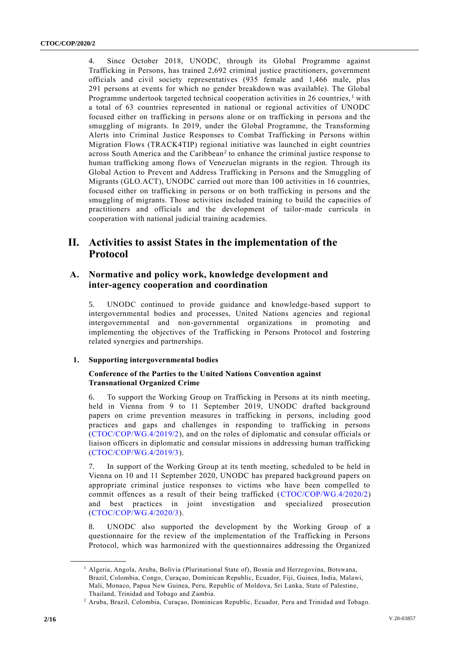4. Since October 2018, UNODC, through its Global Programme against Trafficking in Persons, has trained 2,692 criminal justice practitioners, government officials and civil society representatives (935 female and 1,466 male, plus 291 persons at events for which no gender breakdown was available). The Global Programme undertook targeted technical cooperation activities in 26 countries,  $\frac{1}{1}$  with a total of 63 countries represented in national or regional activities of UNODC focused either on trafficking in persons alone or on trafficking in persons and the smuggling of migrants. In 2019, under the Global Programme, the Transforming Alerts into Criminal Justice Responses to Combat Trafficking in Persons within Migration Flows (TRACK4TIP) regional initiative was launched in eight countries across South America and the Caribbean<sup>2</sup> to enhance the criminal justice response to human trafficking among flows of Venezuelan migrants in the region. Through its Global Action to Prevent and Address Trafficking in Persons and the Smuggling of Migrants (GLO.ACT), UNODC carried out more than 100 activities in 16 countries, focused either on trafficking in persons or on both trafficking in persons and the smuggling of migrants. Those activities included training to build the capacities of practitioners and officials and the development of tailor-made curricula in cooperation with national judicial training academies.

# **II. Activities to assist States in the implementation of the Protocol**

# **A. Normative and policy work, knowledge development and inter-agency cooperation and coordination**

5. UNODC continued to provide guidance and knowledge-based support to intergovernmental bodies and processes, United Nations agencies and regional intergovernmental and non-governmental organizations in promoting and implementing the objectives of the Trafficking in Persons Protocol and fostering related synergies and partnerships.

# **1. Supporting intergovernmental bodies**

# **Conference of the Parties to the United Nations Convention against Transnational Organized Crime**

6. To support the Working Group on Trafficking in Persons at its ninth meeting, held in Vienna from 9 to 11 September 2019, UNODC drafted background papers on crime prevention measures in trafficking in persons, including good practices and gaps and challenges in responding to trafficking in persons [\(CTOC/COP/WG.4/2019/2\)](https://undocs.org/en/CTOC/COP/WG.4/2019/2), and on the roles of diplomatic and consular officials or liaison officers in diplomatic and consular missions in addressing human trafficking [\(CTOC/COP/WG.4/2019/3\)](https://undocs.org/en/CTOC/COP/WG.4/2019/3).

7. In support of the Working Group at its tenth meeting, scheduled to be held in Vienna on 10 and 11 September 2020, UNODC has prepared background papers on appropriate criminal justice responses to victims who have been compelled to commit offences as a result of their being trafficked [\(CTOC/COP/WG.4/2020/2\)](http://undocs.org/CTOC/COP/WG.4/2020/2) and best practices in joint investigation and specialized prosecution [\(CTOC/COP/WG.4/2020/3\)](http://undocs.org/CTOC/COP/WG.4/2020/3).

8. UNODC also supported the development by the Working Group of a questionnaire for the review of the implementation of the Trafficking in Persons Protocol, which was harmonized with the questionnaires addressing the Organized

<sup>1</sup> Algeria, Angola, Aruba, Bolivia (Plurinational State of), Bosnia and Herzegovina, Botswana, Brazil, Colombia, Congo, Curaçao, Dominican Republic, Ecuador, Fiji, Guinea, India, Malawi, Mali, Monaco, Papua New Guinea, Peru, Republic of Moldova, Sri Lanka, State of Palestine, Thailand, Trinidad and Tobago and Zambia.

<sup>2</sup> Aruba, Brazil, Colombia, Curaçao, Dominican Republic, Ecuador, Peru and Trinidad and Tobago.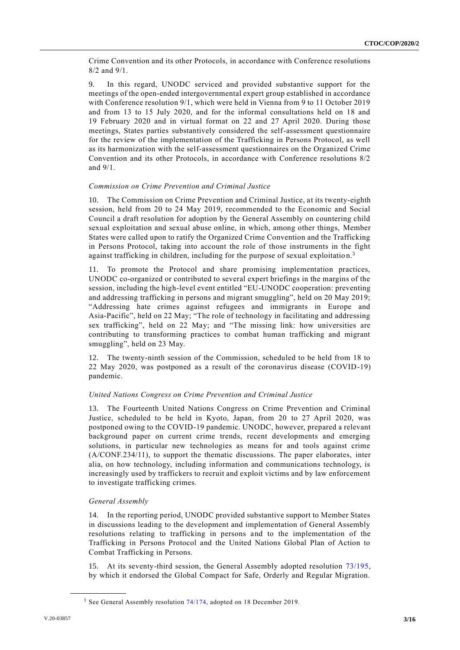Crime Convention and its other Protocols, in accordance with Conference resolutions 8/2 and 9/1.

9. In this regard, UNODC serviced and provided substantive support for the meetings of the open-ended intergovernmental expert group established in accordance with Conference resolution 9/1, which were held in Vienna from 9 to 11 October 2019 and from 13 to 15 July 2020, and for the informal consultations held on 18 and 19 February 2020 and in virtual format on 22 and 27 April 2020. During those meetings, States parties substantively considered the self-assessment questionnaire for the review of the implementation of the Trafficking in Persons Protocol, as well as its harmonization with the self-assessment questionnaires on the Organized Crime Convention and its other Protocols, in accordance with Conference resolutions 8/2 and 9/1.

# *Commission on Crime Prevention and Criminal Justice*

10. The Commission on Crime Prevention and Criminal Justice, at its twenty-eighth session, held from 20 to 24 May 2019, recommended to the Economic and Social Council a draft resolution for adoption by the General Assembly on countering child sexual exploitation and sexual abuse online, in which, among other things, Member States were called upon to ratify the Organized Crime Convention and the Trafficking in Persons Protocol, taking into account the role of those instruments in the fight against trafficking in children, including for the purpose of sexual exploitation.<sup>3</sup>

11. To promote the Protocol and share promising implementation practices, UNODC co-organized or contributed to several expert briefings in the margins of the session, including the high-level event entitled "EU-UNODC cooperation: preventing and addressing trafficking in persons and migrant smuggling", held on 20 May 2019; "Addressing hate crimes against refugees and immigrants in Europe and Asia-Pacific", held on 22 May; "The role of technology in facilitating and addressing sex trafficking", held on 22 May; and "The missing link: how universities are contributing to transforming practices to combat human trafficking and migrant smuggling", held on 23 May.

12. The twenty-ninth session of the Commission, scheduled to be held from 18 to 22 May 2020, was postponed as a result of the coronavirus disease (COVID-19) pandemic.

# *United Nations Congress on Crime Prevention and Criminal Justice*

13. The Fourteenth United Nations Congress on Crime Prevention and Criminal Justice, scheduled to be held in Kyoto, Japan, from 20 to 27 April 2020, was postponed owing to the COVID-19 pandemic. UNODC, however, prepared a relevant background paper on current crime trends, recent developments and emerging solutions, in particular new technologies as means for and tools against crime (A/CONF.234/11), to support the thematic discussions. The paper elaborates, inter alia, on how technology, including information and communications technology, is increasingly used by traffickers to recruit and exploit victims and by law enforcement to investigate trafficking crimes.

# *General Assembly*

**\_\_\_\_\_\_\_\_\_\_\_\_\_\_\_\_\_\_**

14. In the reporting period, UNODC provided substantive support to Member States in discussions leading to the development and implementation of General Assembly resolutions relating to trafficking in persons and to the implementation of the Trafficking in Persons Protocol and the United Nations Global Plan of Action to Combat Trafficking in Persons.

15. At its seventy-third session, the General Assembly adopted resolution [73/195,](https://undocs.org/en/A/RES/73/195) by which it endorsed the Global Compact for Safe, Orderly and Regular Migration.

<sup>&</sup>lt;sup>3</sup> See General Assembly resolution [74/174,](https://undocs.org/en/A/RES/74/174) adopted on 18 December 2019.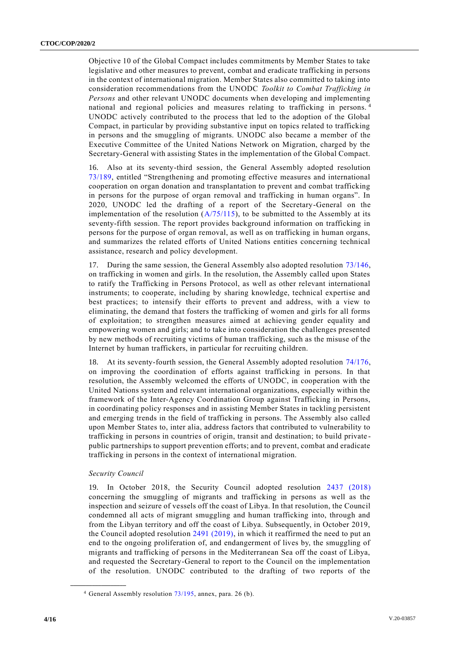Objective 10 of the Global Compact includes commitments by Member States to take legislative and other measures to prevent, combat and eradicate trafficking in persons in the context of international migration. Member States also committed to taking into consideration recommendations from the UNODC *Toolkit to Combat Trafficking in Persons* and other relevant UNODC documents when developing and implementing national and regional policies and measures relating to trafficking in persons. <sup>4</sup> UNODC actively contributed to the process that led to the adoption of the Global Compact, in particular by providing substantive input on topics related to trafficking in persons and the smuggling of migrants. UNODC also became a member of the Executive Committee of the United Nations Network on Migration, charged by the Secretary-General with assisting States in the implementation of the Global Compact.

16. Also at its seventy-third session, the General Assembly adopted resolution [73/189,](https://undocs.org/en/A/RES/73/189) entitled "Strengthening and promoting effective measures and international cooperation on organ donation and transplantation to prevent and combat trafficking in persons for the purpose of organ removal and trafficking in human organs". In 2020, UNODC led the drafting of a report of the Secretary-General on the implementation of the resolution  $(A/75/115)$ , to be submitted to the Assembly at its seventy-fifth session. The report provides background information on trafficking in persons for the purpose of organ removal, as well as on trafficking in human organs, and summarizes the related efforts of United Nations entities concerning technical assistance, research and policy development.

17. During the same session, the General Assembly also adopted resolution [73/146,](https://undocs.org/en/A/RES/73/146) on trafficking in women and girls. In the resolution, the Assembly called upon States to ratify the Trafficking in Persons Protocol, as well as other relevant international instruments; to cooperate, including by sharing knowledge, technical expertise and best practices; to intensify their efforts to prevent and address, with a view to eliminating, the demand that fosters the trafficking of women and girls for all forms of exploitation; to strengthen measures aimed at achieving gender equality and empowering women and girls; and to take into consideration the challenges presented by new methods of recruiting victims of human trafficking, such as the misuse of the Internet by human traffickers, in particular for recruiting children.

18. At its seventy-fourth session, the General Assembly adopted resolution [74/176,](https://undocs.org/en/A/RES/74/176) on improving the coordination of efforts against trafficking in persons. In that resolution, the Assembly welcomed the efforts of UNODC, in cooperation with the United Nations system and relevant international organizations, especially within the framework of the Inter-Agency Coordination Group against Trafficking in Persons, in coordinating policy responses and in assisting Member States in tackling persistent and emerging trends in the field of trafficking in persons. The Assembly also called upon Member States to, inter alia, address factors that contributed to vulnerability to trafficking in persons in countries of origin, transit and destination; to build private public partnerships to support prevention efforts; and to prevent, combat and eradicate trafficking in persons in the context of international migration.

#### *Security Council*

**\_\_\_\_\_\_\_\_\_\_\_\_\_\_\_\_\_\_**

19. In October 2018, the Security Council adopted resolution [2437 \(2018\)](https://undocs.org/en/S/RES/2437(2018)) concerning the smuggling of migrants and trafficking in persons as well as the inspection and seizure of vessels off the coast of Libya. In that resolution, the Council condemned all acts of migrant smuggling and human trafficking into, through and from the Libyan territory and off the coast of Libya. Subsequently, in October 2019, the Council adopted resolution [2491 \(2019\),](https://undocs.org/en/S/RES/2491(2019)) in which it reaffirmed the need to put an end to the ongoing proliferation of, and endangerment of lives by, the smuggling of migrants and trafficking of persons in the Mediterranean Sea off the coast of Libya, and requested the Secretary-General to report to the Council on the implementation of the resolution. UNODC contributed to the drafting of two reports of the

<sup>4</sup> General Assembly resolution [73/195,](https://undocs.org/en/A/RES/73/195) annex, para. 26 (b).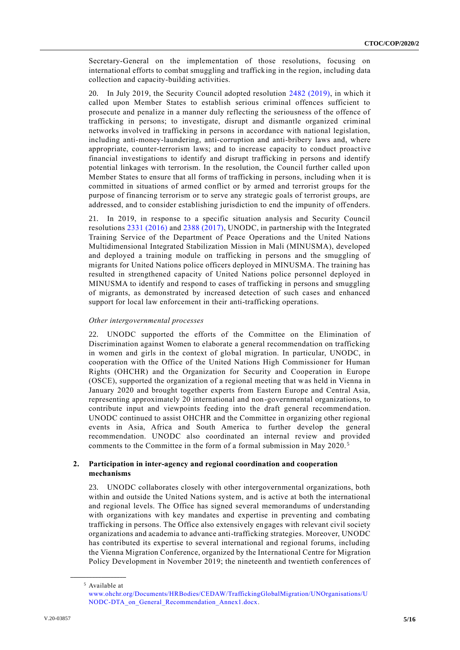Secretary-General on the implementation of those resolutions, focusing on international efforts to combat smuggling and trafficking in the region, including data collection and capacity-building activities.

20. In July 2019, the Security Council adopted resolution [2482 \(2019\),](https://undocs.org/en/S/RES/2482(2019)) in which it called upon Member States to establish serious criminal offences sufficient to prosecute and penalize in a manner duly reflecting the seriousness of the offence of trafficking in persons; to investigate, disrupt and dismantle organized criminal networks involved in trafficking in persons in accordance with national legislation, including anti-money-laundering, anti-corruption and anti-bribery laws and, where appropriate, counter-terrorism laws; and to increase capacity to conduct proactive financial investigations to identify and disrupt trafficking in persons and identify potential linkages with terrorism. In the resolution, the Council further called upon Member States to ensure that all forms of trafficking in persons, including when it is committed in situations of armed conflict or by armed and terrorist groups for the purpose of financing terrorism or to serve any strategic goals of terrorist groups, are addressed, and to consider establishing jurisdiction to end the impunity of offenders.

In 2019, in response to a specific situation analysis and Security Council resolutions [2331 \(2016\)](https://undocs.org/en/S/RES/2331(2016)) and [2388 \(2017\),](https://undocs.org/en/S/RES/2388(2017)) UNODC, in partnership with the Integrated Training Service of the Department of Peace Operations and the United Nations Multidimensional Integrated Stabilization Mission in Mali (MINUSMA), developed and deployed a training module on trafficking in persons and the smuggling of migrants for United Nations police officers deployed in MINUSMA. The training has resulted in strengthened capacity of United Nations police personnel deployed in MINUSMA to identify and respond to cases of trafficking in persons and smuggling of migrants, as demonstrated by increased detection of such cases and enhanced support for local law enforcement in their anti-trafficking operations.

# *Other intergovernmental processes*

22. UNODC supported the efforts of the Committee on the Elimination of Discrimination against Women to elaborate a general recommendation on trafficking in women and girls in the context of global migration. In particular, UNODC, in cooperation with the Office of the United Nations High Commissioner for Human Rights (OHCHR) and the Organization for Security and Cooperation in Europe (OSCE), supported the organization of a regional meeting that was held in Vienna in January 2020 and brought together experts from Eastern Europe and Central Asia, representing approximately 20 international and non-governmental organizations, to contribute input and viewpoints feeding into the draft general recommend ation. UNODC continued to assist OHCHR and the Committee in organizing other regional events in Asia, Africa and South America to further develop the general recommendation. UNODC also coordinated an internal review and provided comments to the Committee in the form of a formal submission in May 2020. <sup>5</sup>

# **2. Participation in inter-agency and regional coordination and cooperation mechanisms**

23. UNODC collaborates closely with other intergovernmental organizations, both within and outside the United Nations system, and is active at both the international and regional levels. The Office has signed several memorandums of understanding with organizations with key mandates and expertise in preventing and combating trafficking in persons. The Office also extensively engages with relevant civil society organizations and academia to advance anti-trafficking strategies. Moreover, UNODC has contributed its expertise to several international and regional forums, including the Vienna Migration Conference, organized by the International Centre for Migration Policy Development in November 2019; the nineteenth and twentieth conferences of

<sup>5</sup> Available at

[www.ohchr.org/Documents/HRBodies/CEDAW/TraffickingGlobalMigration/UNOrganisations/U](http://www.ohchr.org/Documents/HRBodies/CEDAW/TraffickingGlobalMigration/UNOrganisations/UNODC-DTA_on_General_Recommendation_Annex1.docx) [NODC-DTA\\_on\\_General\\_Recommendation\\_Annex1.docx.](http://www.ohchr.org/Documents/HRBodies/CEDAW/TraffickingGlobalMigration/UNOrganisations/UNODC-DTA_on_General_Recommendation_Annex1.docx)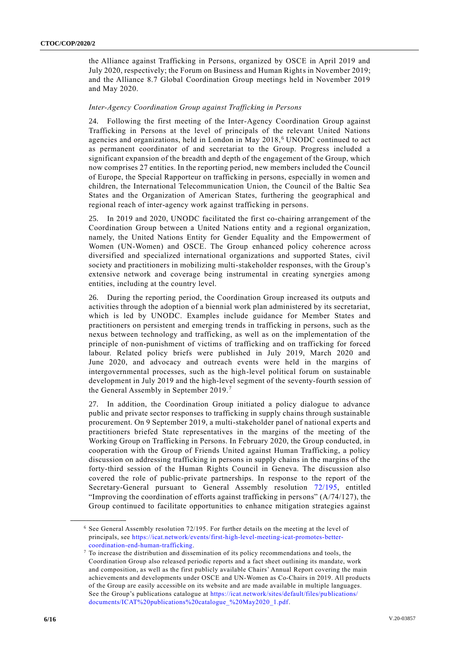the Alliance against Trafficking in Persons, organized by OSCE in April 2019 and July 2020, respectively; the Forum on Business and Human Rights in November 2019; and the Alliance 8.7 Global Coordination Group meetings held in November 2019 and May 2020.

#### *Inter-Agency Coordination Group against Trafficking in Persons*

24. Following the first meeting of the Inter-Agency Coordination Group against Trafficking in Persons at the level of principals of the relevant United Nations agencies and organizations, held in London in May 2018, <sup>6</sup> UNODC continued to act as permanent coordinator of and secretariat to the Group. Progress included a significant expansion of the breadth and depth of the engagement of the Group, which now comprises 27 entities. In the reporting period, new members included the Council of Europe, the Special Rapporteur on trafficking in persons, especially in women and children, the International Telecommunication Union, the Council of the Baltic Sea States and the Organization of American States, furthering the geographical and regional reach of inter-agency work against trafficking in persons.

25. In 2019 and 2020, UNODC facilitated the first co-chairing arrangement of the Coordination Group between a United Nations entity and a regional organization, namely, the United Nations Entity for Gender Equality and the Empowerment of Women (UN-Women) and OSCE. The Group enhanced policy coherence across diversified and specialized international organizations and supported States, civil society and practitioners in mobilizing multi-stakeholder responses, with the Group's extensive network and coverage being instrumental in creating synergies among entities, including at the country level.

26. During the reporting period, the Coordination Group increased its outputs and activities through the adoption of a biennial work plan administered by its secretariat, which is led by UNODC. Examples include guidance for Member States and practitioners on persistent and emerging trends in trafficking in persons, such as the nexus between technology and trafficking, as well as on the implementation of the principle of non-punishment of victims of trafficking and on trafficking for forced labour. Related policy briefs were published in July 2019, March 2020 and June 2020, and advocacy and outreach events were held in the margins of intergovernmental processes, such as the high-level political forum on sustainable development in July 2019 and the high-level segment of the seventy-fourth session of the General Assembly in September 2019.<sup>7</sup>

27. In addition, the Coordination Group initiated a policy dialogue to advance public and private sector responses to trafficking in supply chains through sustainable procurement. On 9 September 2019, a multi-stakeholder panel of national experts and practitioners briefed State representatives in the margins of the meeting of the Working Group on Trafficking in Persons. In February 2020, the Group conducted, in cooperation with the Group of Friends United against Human Trafficking, a policy discussion on addressing trafficking in persons in supply chains in the margins of the forty-third session of the Human Rights Council in Geneva. The discussion also covered the role of public-private partnerships. In response to the report of the Secretary-General pursuant to General Assembly resolution [72/195,](https://undocs.org/en/A/RES/72/195) entitled "Improving the coordination of efforts against trafficking in persons"  $(A/74/127)$ , the Group continued to facilitate opportunities to enhance mitigation strategies against

<sup>6</sup> See General Assembly resolution 72/195. For further details on the meeting at the level of principals, see [https://icat.network/events/first-high-level-meeting-icat-promotes-better](https://icat.network/events/first-high-level-meeting-icat-promotes-better-coordination-end-human-trafficking)[coordination-end-human-trafficking.](https://icat.network/events/first-high-level-meeting-icat-promotes-better-coordination-end-human-trafficking)

 $7$  To increase the distribution and dissemination of its policy recommendations and tools, the Coordination Group also released periodic reports and a fact sheet outlining its mandate, work and composition, as well as the first publicly available Chairs' Annual Report covering the main achievements and developments under OSCE and UN-Women as Co-Chairs in 2019. All products of the Group are easily accessible on its website and are made available in multiple languages. See the Group's publications catalogue at [https://icat.network/sites/default/files/publications/](https://icat.network/sites/default/files/publications/documents/ICAT%20publications%20catalogue_%20May2020_1.pdf) [documents/ICAT%20publications%20catalogue\\_%20May2020\\_1.pdf.](https://icat.network/sites/default/files/publications/documents/ICAT%20publications%20catalogue_%20May2020_1.pdf)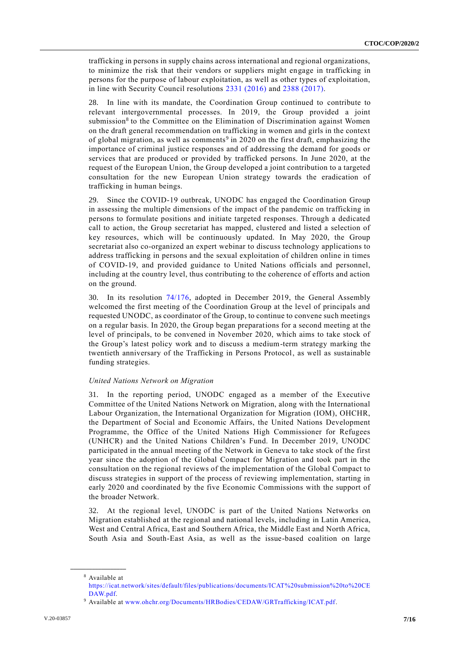trafficking in persons in supply chains across international and regional organizations, to minimize the risk that their vendors or suppliers might engage in trafficking in persons for the purpose of labour exploitation, as well as other types of exploitation, in line with Security Council resolutions [2331 \(2016\)](https://undocs.org/en/S/RES/2331(2016)) and [2388 \(2017\).](https://undocs.org/en/S/RES/2388(2017))

28. In line with its mandate, the Coordination Group continued to contribute to relevant intergovernmental processes. In 2019, the Group provided a joint submission<sup>8</sup> to the Committee on the Elimination of Discrimination against Women on the draft general recommendation on trafficking in women and girls in the context of global migration, as well as comments<sup>9</sup> in 2020 on the first draft, emphasizing the importance of criminal justice responses and of addressing the demand for goods or services that are produced or provided by trafficked persons. In June 2020, at the request of the European Union, the Group developed a joint contribution to a targeted consultation for the new European Union strategy towards the eradication of trafficking in human beings.

29. Since the COVID-19 outbreak, UNODC has engaged the Coordination Group in assessing the multiple dimensions of the impact of the pandemic on trafficking in persons to formulate positions and initiate targeted responses. Through a dedicated call to action, the Group secretariat has mapped, clustered and listed a selection of key resources, which will be continuously updated. In May 2020, the Group secretariat also co-organized an expert webinar to discuss technology applications to address trafficking in persons and the sexual exploitation of children online in times of COVID-19, and provided guidance to United Nations officials and personnel, including at the country level, thus contributing to the coherence of efforts and action on the ground.

30. In its resolution [74/176,](https://undocs.org/en/A/RES/74/176) adopted in December 2019, the General Assembly welcomed the first meeting of the Coordination Group at the level of principals and requested UNODC, as coordinator of the Group, to continue to convene such meetings on a regular basis. In 2020, the Group began preparations for a second meeting at the level of principals, to be convened in November 2020, which aims to take stock of the Group's latest policy work and to discuss a medium-term strategy marking the twentieth anniversary of the Trafficking in Persons Protocol, as well as sustainable funding strategies.

#### *United Nations Network on Migration*

31. In the reporting period, UNODC engaged as a member of the Executive Committee of the United Nations Network on Migration, along with the International Labour Organization, the International Organization for Migration (IOM), OHCHR, the Department of Social and Economic Affairs, the United Nations Development Programme, the Office of the United Nations High Commissioner for Refugees (UNHCR) and the United Nations Children's Fund. In December 2019, UNODC participated in the annual meeting of the Network in Geneva to take stock of the first year since the adoption of the Global Compact for Migration and took part in the consultation on the regional reviews of the implementation of the Global Compact to discuss strategies in support of the process of reviewing implementation, starting in early 2020 and coordinated by the five Economic Commissions with the support of the broader Network.

32. At the regional level, UNODC is part of the United Nations Networks on Migration established at the regional and national levels, including in Latin America, West and Central Africa, East and Southern Africa, the Middle East and North Africa, South Asia and South-East Asia, as well as the issue-based coalition on large

**\_\_\_\_\_\_\_\_\_\_\_\_\_\_\_\_\_\_** <sup>8</sup> Available at

[https://icat.network/sites/default/files/publications/documents/ICAT%20submission%20to%20CE](https://icat.network/sites/default/files/publications/documents/ICAT%20submission%20to%20CEDAW.pdf) [DAW.pdf.](https://icat.network/sites/default/files/publications/documents/ICAT%20submission%20to%20CEDAW.pdf)

<sup>9</sup> Available at [www.ohchr.org/Documents/HRBodies/CEDAW/GRTrafficking/ICAT.pdf.](https://www.ohchr.org/Documents/HRBodies/CEDAW/GRTrafficking/ICAT.pdf)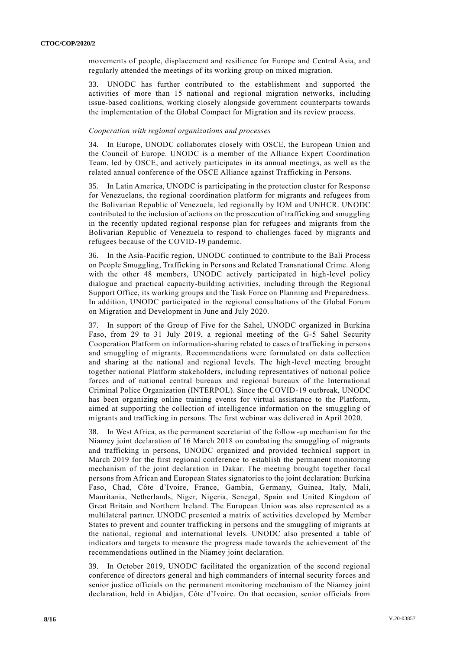movements of people, displacement and resilience for Europe and Central Asia, and regularly attended the meetings of its working group on mixed migration.

33. UNODC has further contributed to the establishment and supported the activities of more than 15 national and regional migration networks, including issue-based coalitions, working closely alongside government counterparts towards the implementation of the Global Compact for Migration and its review process.

## *Cooperation with regional organizations and processes*

34. In Europe, UNODC collaborates closely with OSCE, the European Union and the Council of Europe. UNODC is a member of the Alliance Expert Coordination Team, led by OSCE, and actively participates in its annual meetings, as well as the related annual conference of the OSCE Alliance against Trafficking in Persons.

35. In Latin America, UNODC is participating in the protection cluster for Response for Venezuelans, the regional coordination platform for migrants and refugees from the Bolivarian Republic of Venezuela, led regionally by IOM and UNHCR. UNODC contributed to the inclusion of actions on the prosecution of trafficking and smuggling in the recently updated regional response plan for refugees and migrants from the Bolivarian Republic of Venezuela to respond to challenges faced by migrants and refugees because of the COVID-19 pandemic.

36. In the Asia-Pacific region, UNODC continued to contribute to the Bali Process on People Smuggling, Trafficking in Persons and Related Transnational Crime. Along with the other 48 members, UNODC actively participated in high-level policy dialogue and practical capacity-building activities, including through the Regional Support Office, its working groups and the Task Force on Planning and Preparedness. In addition, UNODC participated in the regional consultations of the Global Forum on Migration and Development in June and July 2020.

37. In support of the Group of Five for the Sahel, UNODC organized in Burkina Faso, from 29 to 31 July 2019, a regional meeting of the G-5 Sahel Security Cooperation Platform on information-sharing related to cases of trafficking in persons and smuggling of migrants. Recommendations were formulated on data collection and sharing at the national and regional levels. The high-level meeting brought together national Platform stakeholders, including representatives of national police forces and of national central bureaux and regional bureaux of the International Criminal Police Organization (INTERPOL). Since the COVID-19 outbreak, UNODC has been organizing online training events for virtual assistance to the Platform, aimed at supporting the collection of intelligence information on the smuggling of migrants and trafficking in persons. The first webinar was delivered in April 2020.

38. In West Africa, as the permanent secretariat of the follow-up mechanism for the Niamey joint declaration of 16 March 2018 on combating the smuggling of migrants and trafficking in persons, UNODC organized and provided technical support in March 2019 for the first regional conference to establish the permanent monitoring mechanism of the joint declaration in Dakar. The meeting brought together focal persons from African and European States signatories to the joint declaration: Burkina Faso, Chad, Côte d'Ivoire, France, Gambia, Germany, Guinea, Italy, Mali, Mauritania, Netherlands, Niger, Nigeria, Senegal, Spain and United Kingdom of Great Britain and Northern Ireland. The European Union was also represented as a multilateral partner. UNODC presented a matrix of activities developed by Member States to prevent and counter trafficking in persons and the smuggling of migrants at the national, regional and international levels. UNODC also presented a table of indicators and targets to measure the progress made towards the achievement of the recommendations outlined in the Niamey joint declaration.

39. In October 2019, UNODC facilitated the organization of the second regional conference of directors general and high commanders of internal security forces and senior justice officials on the permanent monitoring mechanism of the Niamey joint declaration, held in Abidjan, Côte d'Ivoire. On that occasion, senior officials from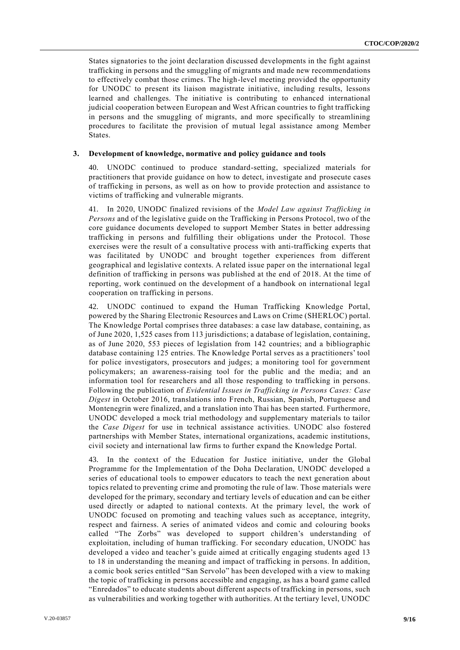States signatories to the joint declaration discussed developments in the fight against trafficking in persons and the smuggling of migrants and made new recommendations to effectively combat those crimes. The high-level meeting provided the opportunity for UNODC to present its liaison magistrate initiative, including results, lessons learned and challenges. The initiative is contributing to enhanced international judicial cooperation between European and West African countries to fight trafficking in persons and the smuggling of migrants, and more specifically to streamlining procedures to facilitate the provision of mutual legal assistance among Member States.

#### **3. Development of knowledge, normative and policy guidance and tools**

40. UNODC continued to produce standard-setting, specialized materials for practitioners that provide guidance on how to detect, investigate and prosecute cases of trafficking in persons, as well as on how to provide protection and assistance to victims of trafficking and vulnerable migrants.

41. In 2020, UNODC finalized revisions of the *Model Law against Trafficking in Persons* and of the legislative guide on the Trafficking in Persons Protocol, two of the core guidance documents developed to support Member States in better addressing trafficking in persons and fulfilling their obligations under the Protocol. Those exercises were the result of a consultative process with anti-trafficking experts that was facilitated by UNODC and brought together experiences from different geographical and legislative contexts. A related issue paper on the international legal definition of trafficking in persons was published at the end of 2018. At the time of reporting, work continued on the development of a handbook on international legal cooperation on trafficking in persons.

42. UNODC continued to expand the Human Trafficking Knowledge Portal, powered by the Sharing Electronic Resources and Laws on Crime (SHERLOC) portal. The Knowledge Portal comprises three databases: a case law database, containing, as of June 2020, 1,525 cases from 113 jurisdictions; a database of legislation, containing, as of June 2020, 553 pieces of legislation from 142 countries; and a bibliographic database containing 125 entries. The Knowledge Portal serves as a practitioners' tool for police investigators, prosecutors and judges; a monitoring tool for government policymakers; an awareness-raising tool for the public and the media; and an information tool for researchers and all those responding to trafficking in persons. Following the publication of *Evidential Issues in Trafficking in Persons Cases: Case Digest* in October 2016, translations into French, Russian, Spanish, Portuguese and Montenegrin were finalized, and a translation into Thai has been started. Furthermore, UNODC developed a mock trial methodology and supplementary materials to tailor the *Case Digest* for use in technical assistance activities. UNODC also fostered partnerships with Member States, international organizations, academic institutions, civil society and international law firms to further expand the Knowledge Portal.

43. In the context of the Education for Justice initiative, under the Global Programme for the Implementation of the Doha Declaration, UNODC developed a series of educational tools to empower educators to teach the next generation about topics related to preventing crime and promoting the rule of law. Those materials were developed for the primary, secondary and tertiary levels of education and can be either used directly or adapted to national contexts. At the primary level, the work of UNODC focused on promoting and teaching values such as acceptance, integrity, respect and fairness. A series of animated videos and comic and colouring books called "The Zorbs" was developed to support children's understanding of exploitation, including of human trafficking. For secondary education, UNODC has developed a video and teacher's guide aimed at critically engaging students aged 13 to 18 in understanding the meaning and impact of trafficking in persons. In addition, a comic book series entitled "San Servolo" has been developed with a view to making the topic of trafficking in persons accessible and engaging, as has a board game called "Enredados" to educate students about different aspects of trafficking in persons, such as vulnerabilities and working together with authorities. At the tertiary level, UNODC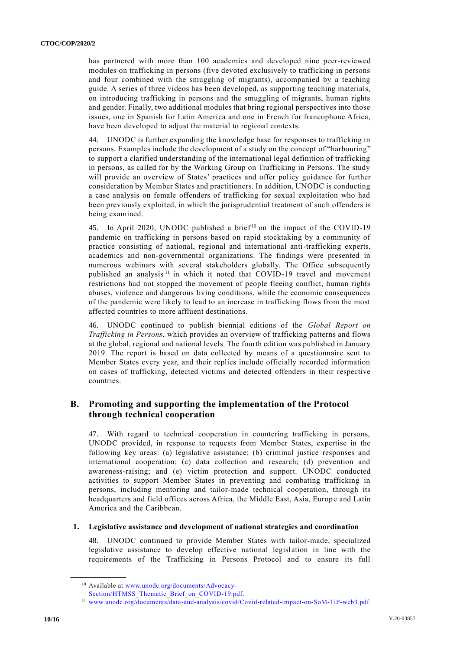has partnered with more than 100 academics and developed nine peer-reviewed modules on trafficking in persons (five devoted exclusively to trafficking in persons and four combined with the smuggling of migrants), accompanied by a teaching guide. A series of three videos has been developed, as supporting teaching materials, on introducing trafficking in persons and the smuggling of migrants, human rights and gender. Finally, two additional modules that bring regional perspectives into those issues, one in Spanish for Latin America and one in French for francophone Africa, have been developed to adjust the material to regional contexts.

44. UNODC is further expanding the knowledge base for responses to trafficking in persons. Examples include the development of a study on the concept of "harbouring" to support a clarified understanding of the international legal definition of trafficking in persons, as called for by the Working Group on Trafficking in Persons. The study will provide an overview of States' practices and offer policy guidance for further consideration by Member States and practitioners. In addition, UNODC is conducting a case analysis on female offenders of trafficking for sexual exploitation who had been previously exploited, in which the jurisprudential treatment of such offenders is being examined.

45. In April 2020, UNODC published a brief<sup>10</sup> on the impact of the COVID-19 pandemic on trafficking in persons based on rapid stocktaking by a community of practice consisting of national, regional and international anti-trafficking experts, academics and non-governmental organizations. The findings were presented in numerous webinars with several stakeholders globally. The Office subsequently published an analysis<sup>11</sup> in which it noted that COVID-19 travel and movement restrictions had not stopped the movement of people fleeing conflict, human rights abuses, violence and dangerous living conditions, while the economic consequences of the pandemic were likely to lead to an increase in trafficking flows from the most affected countries to more affluent destinations.

46. UNODC continued to publish biennial editions of the *Global Report on Trafficking in Persons*, which provides an overview of trafficking patterns and flows at the global, regional and national levels. The fourth edition was published in January 2019. The report is based on data collected by means of a questionnaire sent to Member States every year, and their replies include officially recorded information on cases of trafficking, detected victims and detected offenders in their respective countries.

# **B. Promoting and supporting the implementation of the Protocol through technical cooperation**

47. With regard to technical cooperation in countering trafficking in persons, UNODC provided, in response to requests from Member States, expertise in the following key areas: (a) legislative assistance; (b) criminal justice responses and international cooperation; (c) data collection and research; (d) prevention and awareness-raising; and (e) victim protection and support. UNODC conducted activities to support Member States in preventing and combating trafficking in persons, including mentoring and tailor-made technical cooperation, through its headquarters and field offices across Africa, the Middle East, Asia, Europe and Latin America and the Caribbean.

#### **1. Legislative assistance and development of national strategies and coordination**

48. UNODC continued to provide Member States with tailor-made, specialized legislative assistance to develop effective national legislation in line with the requirements of the Trafficking in Persons Protocol and to ensure its full

<sup>10</sup> Available at [www.unodc.org/documents/Advocacy-](https://www.unodc.org/documents/Advocacy-Section/HTMSS_Thematic_Brief_on_COVID-19.pdf)

[Section/HTMSS\\_Thematic\\_Brief\\_on\\_COVID-19.pdf.](https://www.unodc.org/documents/Advocacy-Section/HTMSS_Thematic_Brief_on_COVID-19.pdf)

<sup>11</sup> [www.unodc.org/documents/data-and-analysis/covid/Covid-related-impact-on-SoM-TiP-web3.pdf.](https://www.unodc.org/documents/data-and-analysis/covid/Covid-related-impact-on-SoM-TiP-web3.pdf)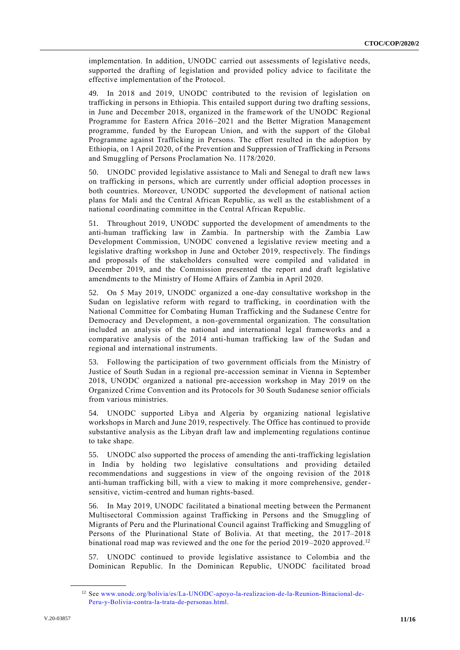implementation. In addition, UNODC carried out assessments of legislative needs, supported the drafting of legislation and provided policy advice to facilitate the effective implementation of the Protocol.

49. In 2018 and 2019, UNODC contributed to the revision of legislation on trafficking in persons in Ethiopia. This entailed support during two drafting sessions, in June and December 2018, organized in the framework of the UNODC Regional Programme for Eastern Africa 2016–2021 and the Better Migration Management programme, funded by the European Union, and with the support of the Global Programme against Trafficking in Persons. The effort resulted in the adoption by Ethiopia, on 1 April 2020, of the Prevention and Suppression of Trafficking in Persons and Smuggling of Persons Proclamation No. 1178/2020.

50. UNODC provided legislative assistance to Mali and Senegal to draft new laws on trafficking in persons, which are currently under official adoption processes in both countries. Moreover, UNODC supported the development of national action plans for Mali and the Central African Republic, as well as the establishment of a national coordinating committee in the Central African Republic.

51. Throughout 2019, UNODC supported the development of amendments to the anti-human trafficking law in Zambia. In partnership with the Zambia Law Development Commission, UNODC convened a legislative review meeting and a legislative drafting workshop in June and October 2019, respectively. The findings and proposals of the stakeholders consulted were compiled and validated in December 2019, and the Commission presented the report and draft legislative amendments to the Ministry of Home Affairs of Zambia in April 2020.

52. On 5 May 2019, UNODC organized a one-day consultative workshop in the Sudan on legislative reform with regard to trafficking, in coordination with the National Committee for Combating Human Trafficking and the Sudanese Centre for Democracy and Development, a non-governmental organization. The consultation included an analysis of the national and international legal frameworks and a comparative analysis of the 2014 anti-human trafficking law of the Sudan and regional and international instruments.

53. Following the participation of two government officials from the Ministry of Justice of South Sudan in a regional pre-accession seminar in Vienna in September 2018, UNODC organized a national pre-accession workshop in May 2019 on the Organized Crime Convention and its Protocols for 30 South Sudanese senior officials from various ministries.

54. UNODC supported Libya and Algeria by organizing national legislative workshops in March and June 2019, respectively. The Office has continued to provide substantive analysis as the Libyan draft law and implementing regulations continue to take shape.

55. UNODC also supported the process of amending the anti-trafficking legislation in India by holding two legislative consultations and providing detailed recommendations and suggestions in view of the ongoing revision of the 2018 anti-human trafficking bill, with a view to making it more comprehensive, gendersensitive, victim-centred and human rights-based.

56. In May 2019, UNODC facilitated a binational meeting between the Permanent Multisectoral Commission against Trafficking in Persons and the Smuggling of Migrants of Peru and the Plurinational Council against Trafficking and Smuggling of Persons of the Plurinational State of Bolivia. At that meeting, the 2017–2018 binational road map was reviewed and the one for the period 2019–2020 approved.<sup>12</sup>

57. UNODC continued to provide legislative assistance to Colombia and the Dominican Republic. In the Dominican Republic, UNODC facilitated broad

<sup>12</sup> See [www.unodc.org/bolivia/es/La-UNODC-apoyo-la-realizacion-de-la-Reunion-Binacional-de-](http://www.unodc.org/bolivia/es/La-UNODC-apoyo-la-realizacion-de-la-Reunion-Binacional-de-Peru-y-Bolivia-contra-la-trata-de-personas.html)[Peru-y-Bolivia-contra-la-trata-de-personas.html.](http://www.unodc.org/bolivia/es/La-UNODC-apoyo-la-realizacion-de-la-Reunion-Binacional-de-Peru-y-Bolivia-contra-la-trata-de-personas.html)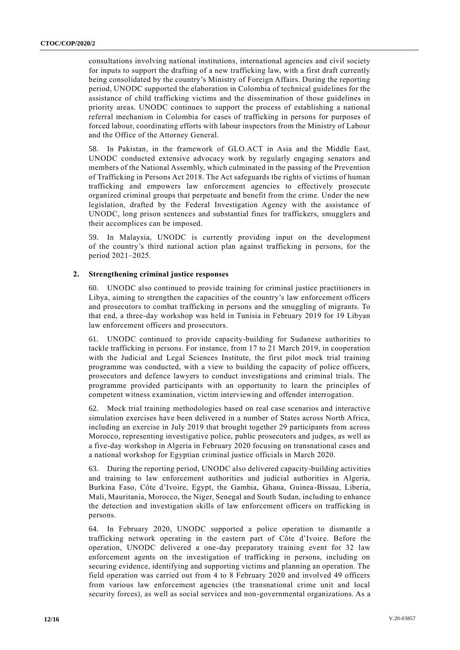consultations involving national institutions, international agencies and civil society for inputs to support the drafting of a new trafficking law, with a first draft currently being consolidated by the country's Ministry of Foreign Affairs. During the reporting period, UNODC supported the elaboration in Colombia of technical guidelines for the assistance of child trafficking victims and the dissemination of those guidelines in priority areas. UNODC continues to support the process of establishing a national referral mechanism in Colombia for cases of trafficking in persons for purposes of forced labour, coordinating efforts with labour inspectors from the Ministry of Labour and the Office of the Attorney General.

58. In Pakistan, in the framework of GLO.ACT in Asia and the Middle East, UNODC conducted extensive advocacy work by regularly engaging senators and members of the National Assembly, which culminated in the passing of the Prevention of Trafficking in Persons Act 2018. The Act safeguards the rights of victims of human trafficking and empowers law enforcement agencies to effectively prosecute organized criminal groups that perpetuate and benefit from the crime. Under the new legislation, drafted by the Federal Investigation Agency with the assistance of UNODC, long prison sentences and substantial fines for traffickers, smugglers and their accomplices can be imposed.

59. In Malaysia, UNODC is currently providing input on the development of the country's third national action plan against trafficking in persons, for the period 2021–2025.

# **2. Strengthening criminal justice responses**

60. UNODC also continued to provide training for criminal justice practitioners in Libya, aiming to strengthen the capacities of the country's law enforcement officers and prosecutors to combat trafficking in persons and the smuggling of migrants. To that end, a three-day workshop was held in Tunisia in February 2019 for 19 Libyan law enforcement officers and prosecutors.

61. UNODC continued to provide capacity-building for Sudanese authorities to tackle trafficking in persons. For instance, from 17 to 21 March 2019, in cooperation with the Judicial and Legal Sciences Institute, the first pilot mock trial training programme was conducted, with a view to building the capacity of police officers, prosecutors and defence lawyers to conduct investigations and criminal trials. The programme provided participants with an opportunity to learn the principles of competent witness examination, victim interviewing and offender interrogation.

62. Mock trial training methodologies based on real case scenarios and interactive simulation exercises have been delivered in a number of States across North Africa, including an exercise in July 2019 that brought together 29 participants from across Morocco, representing investigative police, public prosecutors and judges, as well as a five-day workshop in Algeria in February 2020 focusing on transnational cases and a national workshop for Egyptian criminal justice officials in March 2020.

63. During the reporting period, UNODC also delivered capacity-building activities and training to law enforcement authorities and judicial authorities in Algeria, Burkina Faso, Côte d'Ivoire, Egypt, the Gambia, Ghana, Guinea-Bissau, Liberia, Mali, Mauritania, Morocco, the Niger, Senegal and South Sudan, including to enhance the detection and investigation skills of law enforcement officers on trafficking in persons.

64. In February 2020, UNODC supported a police operation to dismantle a trafficking network operating in the eastern part of Côte d'Ivoire. Before the operation, UNODC delivered a one-day preparatory training event for 32 law enforcement agents on the investigation of trafficking in persons, including on securing evidence, identifying and supporting victims and planning an operation. The field operation was carried out from 4 to 8 February 2020 and involved 49 officers from various law enforcement agencies (the transnational crime unit and local security forces), as well as social services and non-governmental organizations. As a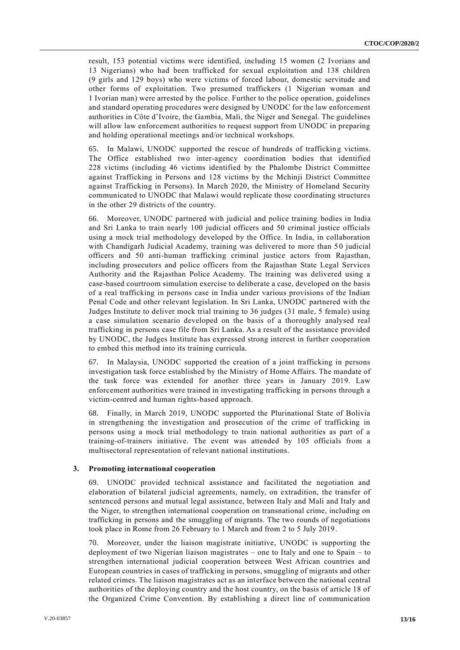result, 153 potential victims were identified, including 15 women (2 Ivorians and 13 Nigerians) who had been trafficked for sexual exploitation and 138 children (9 girls and 129 boys) who were victims of forced labour, domestic servitude and other forms of exploitation. Two presumed traffickers (1 Nigerian woman and 1 Ivorian man) were arrested by the police. Further to the police operation, guidelines and standard operating procedures were designed by UNODC for the law enforcement authorities in Côte d'Ivoire, the Gambia, Mali, the Niger and Senegal. The guidelines will allow law enforcement authorities to request support from UNODC in preparing and holding operational meetings and/or technical workshops.

65. In Malawi, UNODC supported the rescue of hundreds of trafficking victims. The Office established two inter-agency coordination bodies that identified 228 victims (including 46 victims identified by the Phalombe District Committee against Trafficking in Persons and 128 victims by the Mchinji District Committee against Trafficking in Persons). In March 2020, the Ministry of Homeland Security communicated to UNODC that Malawi would replicate those coordinating structures in the other 29 districts of the country.

66. Moreover, UNODC partnered with judicial and police training bodies in India and Sri Lanka to train nearly 100 judicial officers and 50 criminal justice officials using a mock trial methodology developed by the Office. In India, in collaboration with Chandigarh Judicial Academy, training was delivered to more than 50 judicial officers and 50 anti-human trafficking criminal justice actors from Rajasthan, including prosecutors and police officers from the Rajasthan State Legal Services Authority and the Rajasthan Police Academy. The training was delivered using a case-based courtroom simulation exercise to deliberate a case, developed on the basis of a real trafficking in persons case in India under various provisions of the Indian Penal Code and other relevant legislation. In Sri Lanka, UNODC partnered with the Judges Institute to deliver mock trial training to 36 judges (31 male, 5 female) using a case simulation scenario developed on the basis of a thoroughly analysed real trafficking in persons case file from Sri Lanka. As a result of the assistance provided by UNODC, the Judges Institute has expressed strong interest in further cooperation to embed this method into its training curricula.

67. In Malaysia, UNODC supported the creation of a joint trafficking in persons investigation task force established by the Ministry of Home Affairs. The mandate of the task force was extended for another three years in January 2019. Law enforcement authorities were trained in investigating trafficking in persons through a victim-centred and human rights-based approach.

68. Finally, in March 2019, UNODC supported the Plurinational State of Bolivia in strengthening the investigation and prosecution of the crime of trafficking in persons using a mock trial methodology to train national authorities as part of a training-of-trainers initiative. The event was attended by 105 officials from a multisectoral representation of relevant national institutions.

#### **3. Promoting international cooperation**

69. UNODC provided technical assistance and facilitated the negotiation and elaboration of bilateral judicial agreements, namely, on extradition, the transfer of sentenced persons and mutual legal assistance, between Italy and Mali and Italy and the Niger, to strengthen international cooperation on transnational crime, including on trafficking in persons and the smuggling of migrants. The two rounds of negotiations took place in Rome from 26 February to 1 March and from 2 to 5 July 2019.

70. Moreover, under the liaison magistrate initiative, UNODC is supporting the deployment of two Nigerian liaison magistrates – one to Italy and one to Spain – to strengthen international judicial cooperation between West African countries and European countries in cases of trafficking in persons, smuggling of migrants and other related crimes. The liaison magistrates act as an interface between the national central authorities of the deploying country and the host country, on the basis of article 18 of the Organized Crime Convention. By establishing a direct line of communication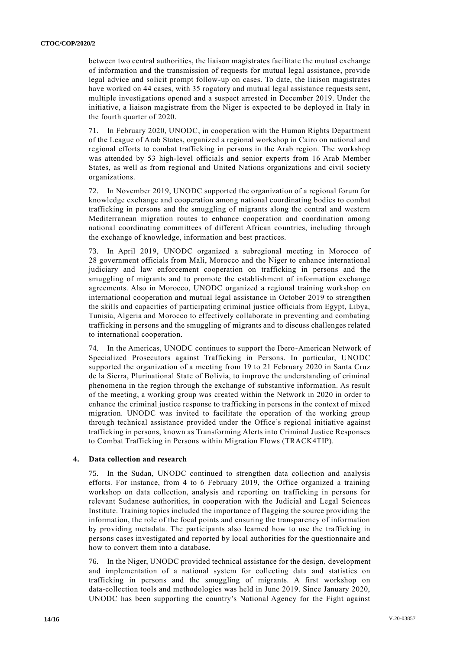between two central authorities, the liaison magistrates facilitate the mutual exchange of information and the transmission of requests for mutual legal assistance, provide legal advice and solicit prompt follow-up on cases. To date, the liaison magistrates have worked on 44 cases, with 35 rogatory and mutual legal assistance requests sent, multiple investigations opened and a suspect arrested in December 2019. Under the initiative, a liaison magistrate from the Niger is expected to be deployed in Italy in the fourth quarter of 2020.

71. In February 2020, UNODC, in cooperation with the Human Rights Department of the League of Arab States, organized a regional workshop in Cairo on national and regional efforts to combat trafficking in persons in the Arab region. The workshop was attended by 53 high-level officials and senior experts from 16 Arab Member States, as well as from regional and United Nations organizations and civil society organizations.

72. In November 2019, UNODC supported the organization of a regional forum for knowledge exchange and cooperation among national coordinating bodies to combat trafficking in persons and the smuggling of migrants along the central and western Mediterranean migration routes to enhance cooperation and coordination among national coordinating committees of different African countries, including through the exchange of knowledge, information and best practices.

73. In April 2019, UNODC organized a subregional meeting in Morocco of 28 government officials from Mali, Morocco and the Niger to enhance international judiciary and law enforcement cooperation on trafficking in persons and the smuggling of migrants and to promote the establishment of information exchange agreements. Also in Morocco, UNODC organized a regional training workshop on international cooperation and mutual legal assistance in October 2019 to strengthen the skills and capacities of participating criminal justice officials from Egypt, Libya, Tunisia, Algeria and Morocco to effectively collaborate in preventing and combating trafficking in persons and the smuggling of migrants and to discuss challenges related to international cooperation.

74. In the Americas, UNODC continues to support the Ibero-American Network of Specialized Prosecutors against Trafficking in Persons. In particular, UNODC supported the organization of a meeting from 19 to 21 February 2020 in Santa Cruz de la Sierra, Plurinational State of Bolivia, to improve the understanding of criminal phenomena in the region through the exchange of substantive information. As result of the meeting, a working group was created within the Network in 2020 in order to enhance the criminal justice response to trafficking in persons in the context of mixed migration. UNODC was invited to facilitate the operation of the working group through technical assistance provided under the Office's regional initiative against trafficking in persons, known as Transforming Alerts into Criminal Justice Responses to Combat Trafficking in Persons within Migration Flows (TRACK4TIP).

## **4. Data collection and research**

75. In the Sudan, UNODC continued to strengthen data collection and analysis efforts. For instance, from 4 to 6 February 2019, the Office organized a training workshop on data collection, analysis and reporting on trafficking in persons for relevant Sudanese authorities, in cooperation with the Judicial and Legal Sciences Institute. Training topics included the importance of flagging the source providing the information, the role of the focal points and ensuring the transparency of information by providing metadata. The participants also learned how to use the trafficking in persons cases investigated and reported by local authorities for the questionnaire and how to convert them into a database.

76. In the Niger, UNODC provided technical assistance for the design, development and implementation of a national system for collecting data and statistics on trafficking in persons and the smuggling of migrants. A first workshop on data-collection tools and methodologies was held in June 2019. Since January 2020, UNODC has been supporting the country's National Agency for the Fight against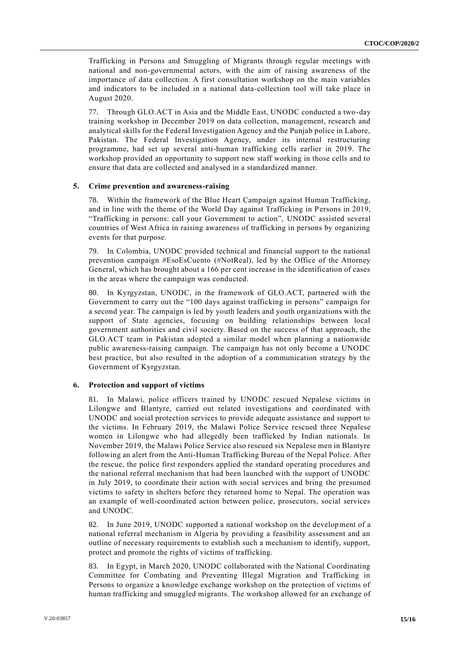Trafficking in Persons and Smuggling of Migrants through regular meetings with national and non-governmental actors, with the aim of raising awareness of the importance of data collection. A first consultation workshop on the main variables and indicators to be included in a national data-collection tool will take place in August 2020.

77. Through GLO.ACT in Asia and the Middle East, UNODC conducted a two-day training workshop in December 2019 on data collection, management, research and analytical skills for the Federal Investigation Agency and the Punjab police in Lahore, Pakistan. The Federal Investigation Agency, under its internal restructuring programme, had set up several anti-human trafficking cells earlier in 2019. The workshop provided an opportunity to support new staff working in those cells and to ensure that data are collected and analysed in a standardized manner.

#### **5. Crime prevention and awareness-raising**

78. Within the framework of the Blue Heart Campaign against Human Trafficking, and in line with the theme of the World Day against Trafficking in Persons in 2019, "Trafficking in persons: call your Government to action", UNODC assisted several countries of West Africa in raising awareness of trafficking in persons by organizing events for that purpose.

79. In Colombia, UNODC provided technical and financial support to the national prevention campaign #EsoEsCuento (#NotReal), led by the Office of the Attorney General, which has brought about a 166 per cent increase in the identification of cases in the areas where the campaign was conducted.

80. In Kyrgyzstan, UNODC, in the framework of GLO.ACT, partnered with the Government to carry out the "100 days against trafficking in persons" campaign for a second year. The campaign is led by youth leaders and youth organizations with the support of State agencies, focusing on building relationships between local government authorities and civil society. Based on the success of that approach, the GLO.ACT team in Pakistan adopted a similar model when planning a nationwide public awareness-raising campaign. The campaign has not only become a UNODC best practice, but also resulted in the adoption of a communication strategy by the Government of Kyrgyzstan.

# **6. Protection and support of victims**

81. In Malawi, police officers trained by UNODC rescued Nepalese victims in Lilongwe and Blantyre, carried out related investigations and coordinated with UNODC and social protection services to provide adequate assistance and support to the victims. In February 2019, the Malawi Police Service rescued three Nepalese women in Lilongwe who had allegedly been trafficked by Indian nationals. In November 2019, the Malawi Police Service also rescued six Nepalese men in Blantyre following an alert from the Anti-Human Trafficking Bureau of the Nepal Police. After the rescue, the police first responders applied the standard operating procedures and the national referral mechanism that had been launched with the support of UNODC in July 2019, to coordinate their action with social services and bring the presumed victims to safety in shelters before they returned home to Nepal. The operation was an example of well-coordinated action between police, prosecutors, social services and UNODC.

82. In June 2019, UNODC supported a national workshop on the development of a national referral mechanism in Algeria by providing a feasibility assessment and an outline of necessary requirements to establish such a mechanism to identify, support, protect and promote the rights of victims of trafficking.

83. In Egypt, in March 2020, UNODC collaborated with the National Coordinating Committee for Combating and Preventing Illegal Migration and Trafficking in Persons to organize a knowledge exchange workshop on the protection of victims of human trafficking and smuggled migrants. The workshop allowed for an exchange of